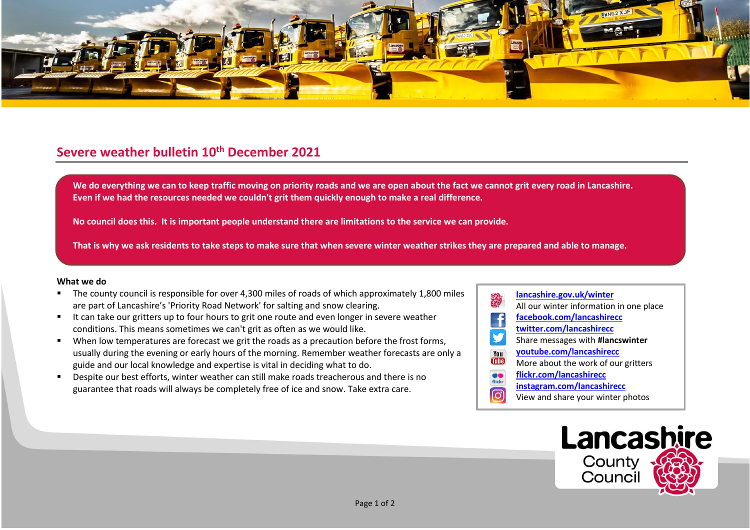

## **Severe weather bulletin 10th December 2021**

**We do everything we can to keep traffic moving on priority roads and we are open about the fact we cannot grit every road in Lancashire. Even if we had the resources needed we couldn't grit them quickly enough to make a real difference.**

**No council does this. It is important people understand there are limitations to the service we can provide.**

**That is why we ask residents to take steps to make sure that when severe winter weather strikes they are prepared and able to manage.**

## **What we do**

- The county council is responsible for over 4,300 miles of roads of which approximately 1,800 miles are part of Lancashire's 'Priority Road Network' for salting and snow clearing.
- It can take our gritters up to four hours to grit one route and even longer in severe weather conditions. This means sometimes we can't grit as often as we would like.
- When low temperatures are forecast we grit the roads as a precaution before the frost forms, usually during the evening or early hours of the morning. Remember weather forecasts are only a guide and our local knowledge and expertise is vital in deciding what to do.
- Despite our best efforts, winter weather can still make roads treacherous and there is no guarantee that roads will always be completely free of ice and snow. Take extra care.
- **[lancashire.gov.uk/winter](http://www.lancashire.gov.uk/winter)** All our winter information in one place **[facebook.com/lancashirecc](http://www.facebook.com/lancashirecc) [twitter.com/lancashirecc](http://www.twitter.com/lancashirecc)** y Share messages with **#lancswinter [youtube.com/lancashirecc](http://www.youtube.com/lancashirecc)** You **Tilte** More about the work of our gritters  $\bullet$ **[flickr.com/lancashirecc](http://www.flickr.com/lancashirecc)** flickr **[instagram.com/lancashirecc](http://www.instagram.com/lancashirecc)** ြင View and share your winter photos